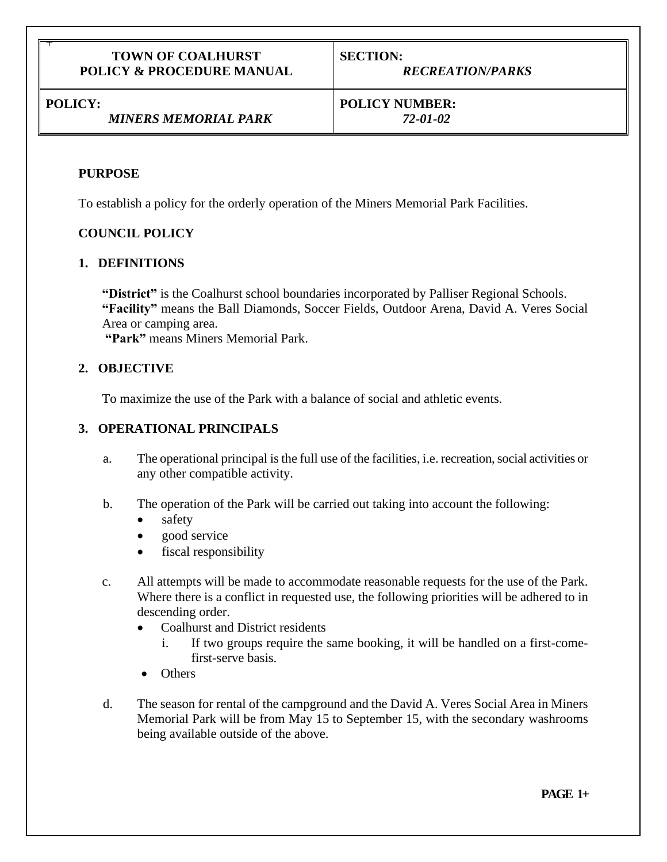#### **TOWN OF COALHURST POLICY & PROCEDURE MANUAL**

**SECTION:** *RECREATION/PARKS* 

**POLICY:**

+

## *MINERS MEMORIAL PARK*

**POLICY NUMBER:**

*72-01-02*

## **PURPOSE**

To establish a policy for the orderly operation of the Miners Memorial Park Facilities.

## **COUNCIL POLICY**

## **1. DEFINITIONS**

**"District"** is the Coalhurst school boundaries incorporated by Palliser Regional Schools. **"Facility"** means the Ball Diamonds, Soccer Fields, Outdoor Arena, David A. Veres Social Area or camping area.

**"Park"** means Miners Memorial Park.

## **2. OBJECTIVE**

To maximize the use of the Park with a balance of social and athletic events.

## **3. OPERATIONAL PRINCIPALS**

- a. The operational principal is the full use of the facilities, i.e. recreation, social activities or any other compatible activity.
- b. The operation of the Park will be carried out taking into account the following:
	- safety
	- good service
	- fiscal responsibility
- c. All attempts will be made to accommodate reasonable requests for the use of the Park. Where there is a conflict in requested use, the following priorities will be adhered to in descending order.
	- Coalhurst and District residents
		- i. If two groups require the same booking, it will be handled on a first-comefirst-serve basis.
	- Others
- d. The season for rental of the campground and the David A. Veres Social Area in Miners Memorial Park will be from May 15 to September 15, with the secondary washrooms being available outside of the above.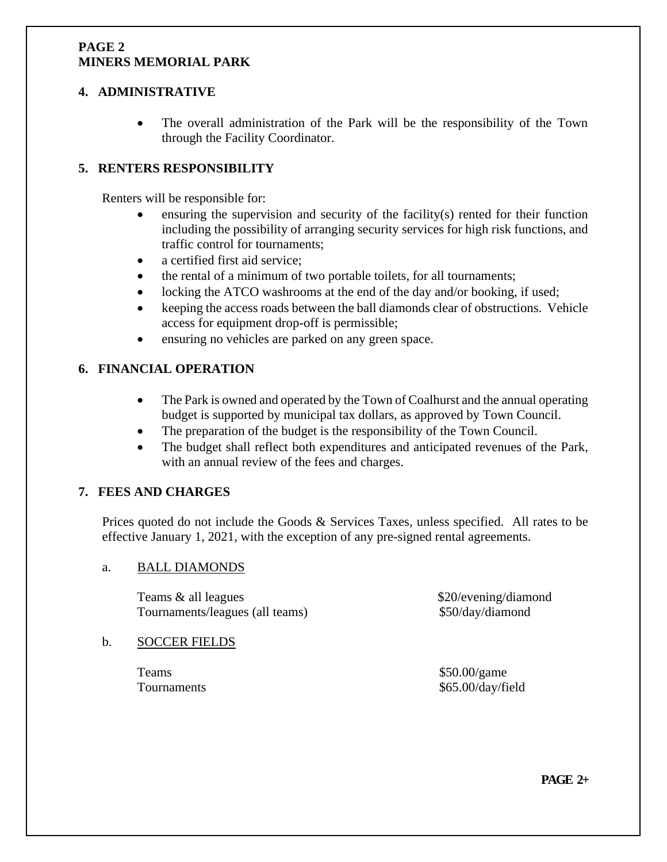#### **PAGE 2 MINERS MEMORIAL PARK**

#### **4. ADMINISTRATIVE**

• The overall administration of the Park will be the responsibility of the Town through the Facility Coordinator.

## **5. RENTERS RESPONSIBILITY**

Renters will be responsible for:

- ensuring the supervision and security of the facility(s) rented for their function including the possibility of arranging security services for high risk functions, and traffic control for tournaments;
- a certified first aid service:
- the rental of a minimum of two portable toilets, for all tournaments;
- locking the ATCO washrooms at the end of the day and/or booking, if used;
- keeping the access roads between the ball diamonds clear of obstructions. Vehicle access for equipment drop-off is permissible;
- ensuring no vehicles are parked on any green space.

## **6. FINANCIAL OPERATION**

- The Park is owned and operated by the Town of Coalhurst and the annual operating budget is supported by municipal tax dollars, as approved by Town Council.
- The preparation of the budget is the responsibility of the Town Council.
- The budget shall reflect both expenditures and anticipated revenues of the Park, with an annual review of the fees and charges.

#### **7. FEES AND CHARGES**

Prices quoted do not include the Goods & Services Taxes, unless specified. All rates to be effective January 1, 2021, with the exception of any pre-signed rental agreements.

#### a. BALL DIAMONDS

Teams & all leagues  $$20/evening/diamond$ Tournaments/leagues (all teams) \$50/day/diamond

# b. SOCCER FIELDS

Teams \$50.00/game

Tournaments  $$65.00/day/field$ 

**PAGE 2+**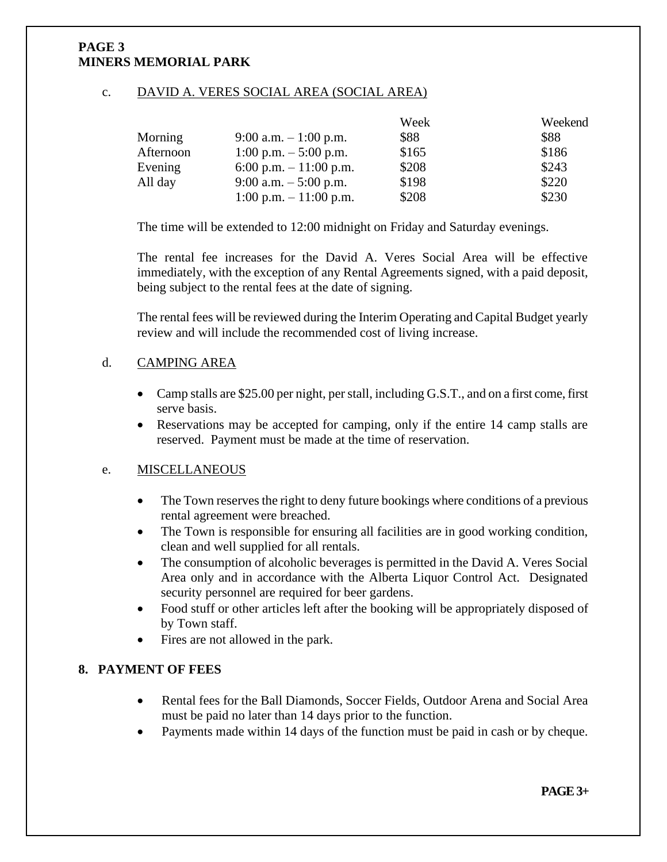#### **PAGE 3 MINERS MEMORIAL PARK**

#### c. DAVID A. VERES SOCIAL AREA (SOCIAL AREA)

|           |                         | Week  | Weekend |
|-----------|-------------------------|-------|---------|
| Morning   | 9:00 a.m. $-1:00$ p.m.  | \$88  | \$88    |
| Afternoon | 1:00 p.m. $-$ 5:00 p.m. | \$165 | \$186   |
| Evening   | 6:00 p.m. $-11:00$ p.m. | \$208 | \$243   |
| All day   | 9:00 a.m. $-5:00$ p.m.  | \$198 | \$220   |
|           | 1:00 p.m. $-11:00$ p.m. | \$208 | \$230   |

The time will be extended to 12:00 midnight on Friday and Saturday evenings.

The rental fee increases for the David A. Veres Social Area will be effective immediately, with the exception of any Rental Agreements signed, with a paid deposit, being subject to the rental fees at the date of signing.

The rental fees will be reviewed during the Interim Operating and Capital Budget yearly review and will include the recommended cost of living increase.

## d. CAMPING AREA

- Camp stalls are \$25.00 per night, per stall, including G.S.T., and on a first come, first serve basis.
- Reservations may be accepted for camping, only if the entire 14 camp stalls are reserved. Payment must be made at the time of reservation.

#### e. MISCELLANEOUS

- The Town reserves the right to deny future bookings where conditions of a previous rental agreement were breached.
- The Town is responsible for ensuring all facilities are in good working condition, clean and well supplied for all rentals.
- The consumption of alcoholic beverages is permitted in the David A. Veres Social Area only and in accordance with the Alberta Liquor Control Act. Designated security personnel are required for beer gardens.
- Food stuff or other articles left after the booking will be appropriately disposed of by Town staff.
- Fires are not allowed in the park.

#### **8. PAYMENT OF FEES**

- Rental fees for the Ball Diamonds, Soccer Fields, Outdoor Arena and Social Area must be paid no later than 14 days prior to the function.
- Payments made within 14 days of the function must be paid in cash or by cheque.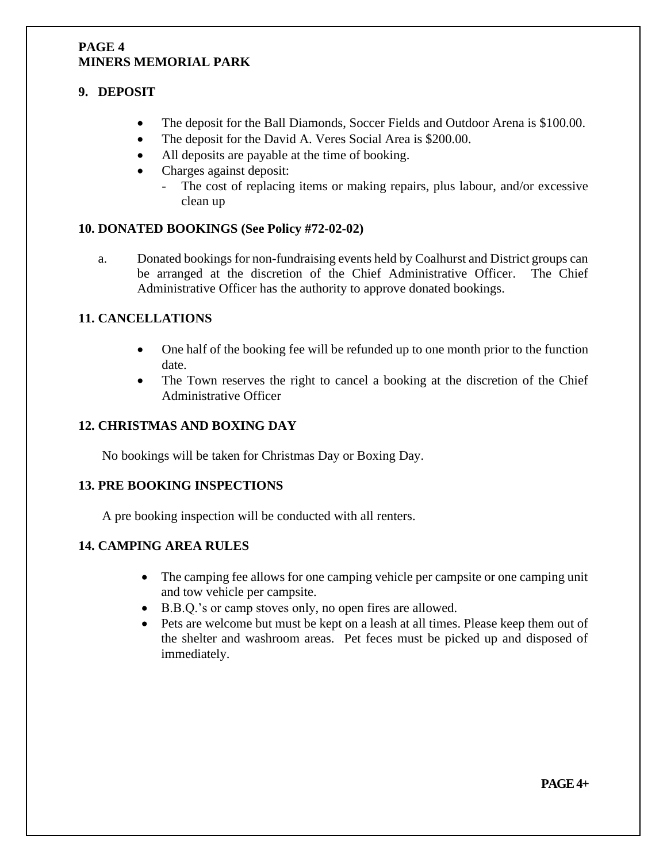#### **PAGE 4 MINERS MEMORIAL PARK**

## **9. DEPOSIT**

- The deposit for the Ball Diamonds, Soccer Fields and Outdoor Arena is \$100.00.
- The deposit for the David A. Veres Social Area is \$200.00.
- All deposits are payable at the time of booking.
- Charges against deposit:
	- The cost of replacing items or making repairs, plus labour, and/or excessive clean up

## **10. DONATED BOOKINGS (See Policy #72-02-02)**

a. Donated bookings for non-fundraising events held by Coalhurst and District groups can be arranged at the discretion of the Chief Administrative Officer. The Chief Administrative Officer has the authority to approve donated bookings.

## **11. CANCELLATIONS**

- One half of the booking fee will be refunded up to one month prior to the function date.
- The Town reserves the right to cancel a booking at the discretion of the Chief Administrative Officer

## **12. CHRISTMAS AND BOXING DAY**

No bookings will be taken for Christmas Day or Boxing Day.

#### **13. PRE BOOKING INSPECTIONS**

A pre booking inspection will be conducted with all renters.

## **14. CAMPING AREA RULES**

- The camping fee allows for one camping vehicle per campsite or one camping unit and tow vehicle per campsite.
- B.B.Q.'s or camp stoves only, no open fires are allowed.
- Pets are welcome but must be kept on a leash at all times. Please keep them out of the shelter and washroom areas. Pet feces must be picked up and disposed of immediately.